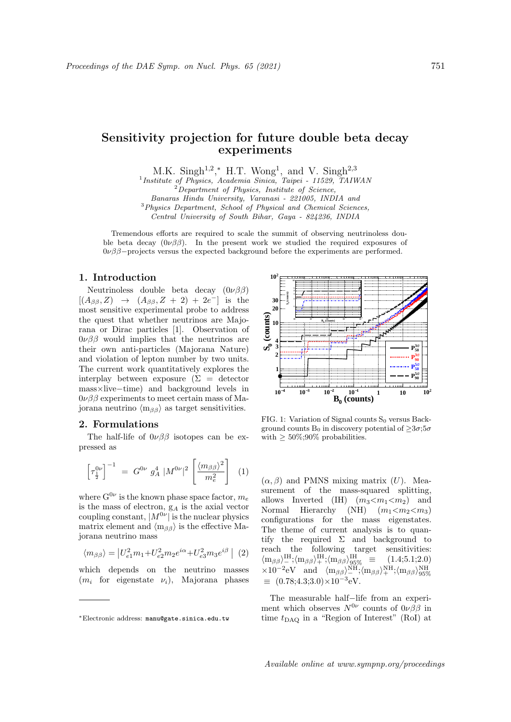# Sensitivity projection for future double beta decay experiments

M.K. Singh<sup>1,2</sup>,\* H.T. Wong<sup>1</sup>, and V. Singh<sup>2,3</sup><sup>1</sup>*Institute of Physics, Academia Sinica, Taipei - 11529, TAIWAN* 

 $2D$ epartment of Physics, Institute of Science, Banaras Hindu University, Varanasi - 221005, INDIA and

<sup>3</sup>Physics Department, School of Physical and Chemical Sciences,

Central University of South Bihar, Gaya - 824236, INDIA

Tremendous efforts are required to scale the summit of observing neutrinoless double beta decay  $(0\nu\beta\beta)$ . In the present work we studied the required exposures of  $0\nu\beta\beta$ –projects versus the expected background before the experiments are performed.

## 1. Introduction

Neutrinoless double beta decay  $(0\nu\beta\beta)$  $[(A_{\beta\beta}, Z) \rightarrow (A_{\beta\beta}, Z + 2) + 2e^-]$  is the most sensitive experimental probe to address the quest that whether neutrinos are Majorana or Dirac particles [1]. Observation of  $0\nu\beta\beta$  would implies that the neutrinos are their own anti-particles (Majorana Nature) and violation of lepton number by two units. The current work quantitatively explores the interplay between exposure  $(\Sigma = \text{detector})$ mass×live−time) and background levels in  $0\nu\beta\beta$  experiments to meet certain mass of Majorana neutrino  $\langle m_{\beta\beta} \rangle$  as target sensitivities.

#### 2. Formulations

The half-life of  $0\nu\beta\beta$  isotopes can be expressed as

$$
\left[\tau_{\frac{1}{2}}^{0\nu}\right]^{-1} = G^{0\nu} g_A^4 |M^{0\nu}|^2 \left[\frac{\langle m_{\beta\beta}\rangle^2}{m_e^2}\right] \tag{1}
$$

where  $G^{0\nu}$  is the known phase space factor,  $m_e$ is the mass of electron,  $g_A$  is the axial vector coupling constant,  $|M^{0\nu}|$  is the nuclear physics matrix element and  $\langle m_{\beta\beta} \rangle$  is the effective Majorana neutrino mass

$$
\langle m_{\beta\beta} \rangle = |U_{e1}^2 m_1 + U_{e2}^2 m_2 e^{i\alpha} + U_{e3}^2 m_3 e^{i\beta}| \ (2)
$$

which depends on the neutrino masses  $(m_i)$  for eigenstate  $\nu_i$ ), Majorana phases



FIG. 1: Variation of Signal counts  $S_0$  versus Background counts  $B_0$  in discovery potential of  $\geq 3\sigma$ ;5 $\sigma$ with  $\geq 50\%;90\%$  probabilities.

 $(\alpha, \beta)$  and PMNS mixing matrix  $(U)$ . Measurement of the mass-squared splitting, allows Inverted (IH)  $(m_3 < m_1 < m_2)$  and<br>Normal Hierarchy (NH)  $(m_1 < m_2 < m_3)$  $(NH)$   $(m_1 < m_2 < m_3)$ configurations for the mass eigenstates. The theme of current analysis is to quantify the required  $\Sigma$  and background to reach the following target sensitivities:  $\langle m_{\beta\beta} \rangle_{-}^{\text{IH}}; \langle m_{\beta\beta} \rangle_{+}^{\text{IH}}; \langle m_{\beta\beta} \rangle_{95\%}^{\text{IH}} \equiv (1.4; 5.1; 2.0)$  $\times 10^{-2} \text{eV}$  and  $\langle m_{\beta\beta} \rangle_{-}^{\text{NH}}; \langle m_{\beta\beta} \rangle_{+}^{\text{NH}}; \langle m_{\beta\beta} \rangle_{95\%}^{\text{NH}}$  $\equiv (0.78; 4.3; 3.0) \times 10^{-3}$ eV.

The measurable half−life from an experiment which observes  $N^{0\nu}$  counts of  $0\nu\beta\beta$  in time  $t_{\text{DAO}}$  in a "Region of Interest" (RoI) at

<sup>∗</sup>Electronic address: manu@gate.sinica.edu.tw